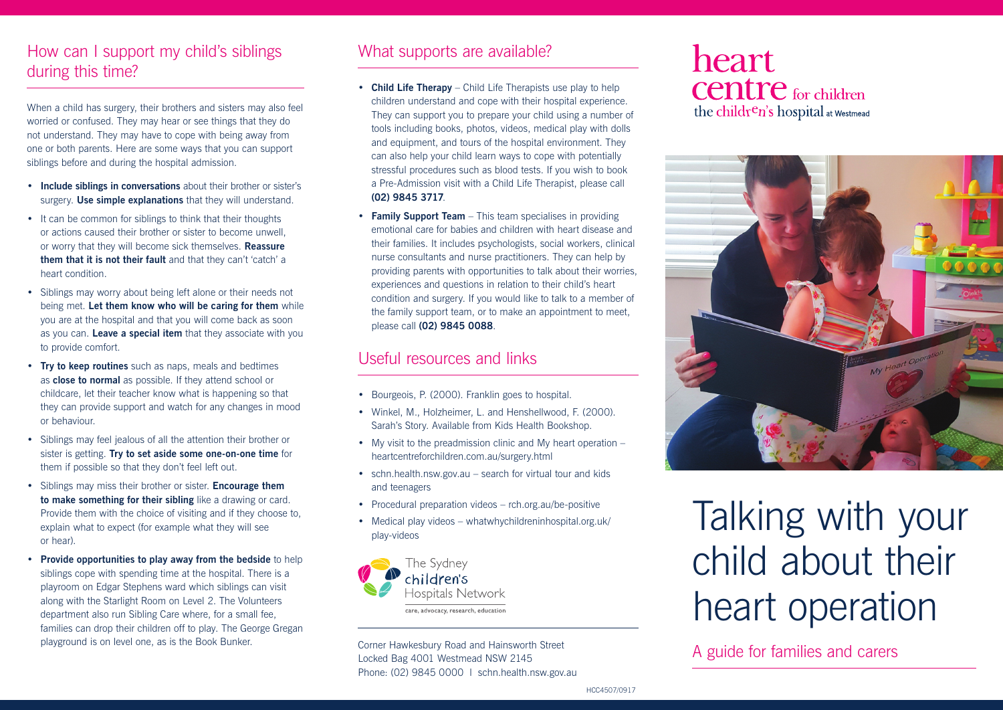# How can I support my child's siblings during this time?

When a child has surgery, their brothers and sisters may also feel worried or confused. They may hear or see things that they do not understand. They may have to cope with being away from one or both parents. Here are some ways that you can support siblings before and during the hospital admission.

- **Include siblings in conversations** about their brother or sister's surgery. **Use simple explanations** that they will understand.
- It can be common for siblings to think that their thoughts or actions caused their brother or sister to become unwell, or worry that they will become sick themselves. **Reassure them that it is not their fault** and that they can't 'catch' a heart condition.
- Siblings may worry about being left alone or their needs not being met. **Let them know who will be caring for them** while you are at the hospital and that you will come back as soon as you can. **Leave a special item** that they associate with you to provide comfort.
- **Try to keep routines** such as naps, meals and bedtimes as **close to normal** as possible. If they attend school or childcare, let their teacher know what is happening so that they can provide support and watch for any changes in mood or behaviour.
- Siblings may feel jealous of all the attention their brother or sister is getting. **Try to set aside some one-on-one time** for them if possible so that they don't feel left out.
- Siblings may miss their brother or sister. **Encourage them to make something for their sibling** like a drawing or card. Provide them with the choice of visiting and if they choose to, explain what to expect (for example what they will see or hear).
- **Provide opportunities to play away from the bedside** to help siblings cope with spending time at the hospital. There is a playroom on Edgar Stephens ward which siblings can visit along with the Starlight Room on Level 2. The Volunteers department also run Sibling Care where, for a small fee, families can drop their children off to play. The George Gregan playground is on level one, as is the Book Bunker.

#### What supports are available?

- **Child Life Therapy** Child Life Therapists use play to help children understand and cope with their hospital experience. They can support you to prepare your child using a number of tools including books, photos, videos, medical play with dolls and equipment, and tours of the hospital environment. They can also help your child learn ways to cope with potentially stressful procedures such as blood tests. If you wish to book a Pre-Admission visit with a Child Life Therapist, please call **(02) 9845 3717**.
- **Family Support Team** This team specialises in providing emotional care for babies and children with heart disease and their families. It includes psychologists, social workers, clinical nurse consultants and nurse practitioners. They can help by providing parents with opportunities to talk about their worries, experiences and questions in relation to their child's heart condition and surgery. If you would like to talk to a member of the family support team, or to make an appointment to meet, please call **(02) 9845 0088**.

# Useful resources and links

- Bourgeois, P. (2000). Franklin goes to hospital.
- Winkel, M., Holzheimer, L. and Henshellwood, F. (2000). Sarah's Story. Available from Kids Health Bookshop.
- My visit to the preadmission clinic and My heart operation heartcentreforchildren.com.au/surgery.html
- schn.health.nsw.gov.au search for virtual tour and kids and teenagers
- Procedural preparation videos rch.org.au/be-positive
- Medical play videos whatwhychildreninhospital.org.uk/ play-videos



A guide for families and carers Corner Hawkesbury Road and Hainsworth Street Locked Bag 4001 Westmead NSW 2145 Phone: (02) 9845 0000 | schn.health.nsw.gov.au

# **heart Centre** for children the children's hospital at Westmead



Talking with your child about their heart operation